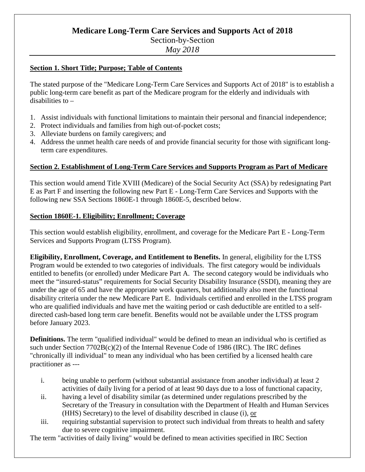# **Medicare Long-Term Care Services and Supports Act of 2018**

# Section-by-Section

*May 2018*

#### **Section 1. Short Title; Purpose; Table of Contents**

The stated purpose of the "Medicare Long-Term Care Services and Supports Act of 2018" is to establish a public long-term care benefit as part of the Medicare program for the elderly and individuals with disabilities to –

- 1. Assist individuals with functional limitations to maintain their personal and financial independence;
- 2. Protect individuals and families from high out-of-pocket costs;
- 3. Alleviate burdens on family caregivers; and
- 4. Address the unmet health care needs of and provide financial security for those with significant longterm care expenditures.

## **Section 2. Establishment of Long-Term Care Services and Supports Program as Part of Medicare**

This section would amend Title XVIII (Medicare) of the Social Security Act (SSA) by redesignating Part E as Part F and inserting the following new Part E - Long-Term Care Services and Supports with the following new SSA Sections 1860E-1 through 1860E-5, described below.

## **Section 1860E-1. Eligibility; Enrollment; Coverage**

This section would establish eligibility, enrollment, and coverage for the Medicare Part E - Long-Term Services and Supports Program (LTSS Program).

**Eligibility, Enrollment, Coverage, and Entitlement to Benefits.** In general, eligibility for the LTSS Program would be extended to two categories of individuals. The first category would be individuals entitled to benefits (or enrolled) under Medicare Part A. The second category would be individuals who meet the "insured-status" requirements for Social Security Disability Insurance (SSDI), meaning they are under the age of 65 and have the appropriate work quarters, but additionally also meet the functional disability criteria under the new Medicare Part E. Individuals certified and enrolled in the LTSS program who are qualified individuals and have met the waiting period or cash deductible are entitled to a selfdirected cash-based long term care benefit. Benefits would not be available under the LTSS program before January 2023.

**Definitions.** The term "qualified individual" would be defined to mean an individual who is certified as such under Section 7702B(c)(2) of the Internal Revenue Code of 1986 (IRC). The IRC defines "chronically ill individual" to mean any individual who has been certified by a licensed health care practitioner as ---

- i. being unable to perform (without substantial assistance from another individual) at least 2 activities of daily living for a period of at least 90 days due to a loss of functional capacity,
- ii. having a level of disability similar (as determined under regulations prescribed by the Secretary of the Treasury in consultation with the Department of Health and Human Services (HHS) Secretary) to the level of disability described in clause (i), or
- iii. requiring substantial supervision to protect such individual from threats to health and safety due to severe cognitive impairment.

The term "activities of daily living" would be defined to mean activities specified in IRC Section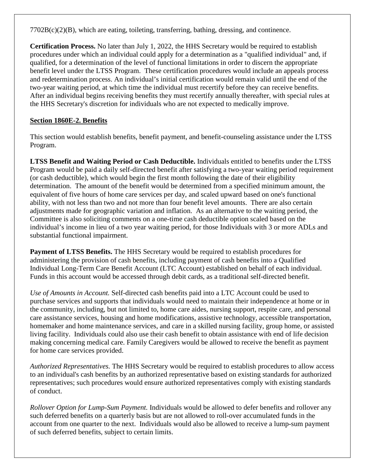$7702B(c)(2)(B)$ , which are eating, toileting, transferring, bathing, dressing, and continence.

**Certification Process.** No later than July 1, 2022, the HHS Secretary would be required to establish procedures under which an individual could apply for a determination as a "qualified individual" and, if qualified, for a determination of the level of functional limitations in order to discern the appropriate benefit level under the LTSS Program. These certification procedures would include an appeals process and redetermination process. An individual's initial certification would remain valid until the end of the two-year waiting period, at which time the individual must recertify before they can receive benefits. After an individual begins receiving benefits they must recertify annually thereafter, with special rules at the HHS Secretary's discretion for individuals who are not expected to medically improve.

# **Section 1860E-2. Benefits**

This section would establish benefits, benefit payment, and benefit-counseling assistance under the LTSS Program.

**LTSS Benefit and Waiting Period or Cash Deductible.** Individuals entitled to benefits under the LTSS Program would be paid a daily self-directed benefit after satisfying a two-year waiting period requirement (or cash deductible), which would begin the first month following the date of their eligibility determination. The amount of the benefit would be determined from a specified minimum amount, the equivalent of five hours of home care services per day, and scaled upward based on one's functional ability, with not less than two and not more than four benefit level amounts. There are also certain adjustments made for geographic variation and inflation. As an alternative to the waiting period, the Committee is also soliciting comments on a one-time cash deductible option scaled based on the individual's income in lieu of a two year waiting period, for those Individuals with 3 or more ADLs and substantial functional impairment.

**Payment of LTSS Benefits.** The HHS Secretary would be required to establish procedures for administering the provision of cash benefits, including payment of cash benefits into a Qualified Individual Long-Term Care Benefit Account (LTC Account) established on behalf of each individual. Funds in this account would be accessed through debit cards, as a traditional self-directed benefit.

*Use of Amounts in Account.* Self-directed cash benefits paid into a LTC Account could be used to purchase services and supports that individuals would need to maintain their independence at home or in the community, including, but not limited to, home care aides, nursing support, respite care, and personal care assistance services, housing and home modifications, assistive technology, accessible transportation, homemaker and home maintenance services, and care in a skilled nursing facility, group home, or assisted living facility. Individuals could also use their cash benefit to obtain assistance with end of life decision making concerning medical care. Family Caregivers would be allowed to receive the benefit as payment for home care services provided.

*Authorized Representatives.* The HHS Secretary would be required to establish procedures to allow access to an individual's cash benefits by an authorized representative based on existing standards for authorized representatives; such procedures would ensure authorized representatives comply with existing standards of conduct.

*Rollover Option for Lump-Sum Payment.* Individuals would be allowed to defer benefits and rollover any such deferred benefits on a quarterly basis but are not allowed to roll-over accumulated funds in the account from one quarter to the next. Individuals would also be allowed to receive a lump-sum payment of such deferred benefits, subject to certain limits.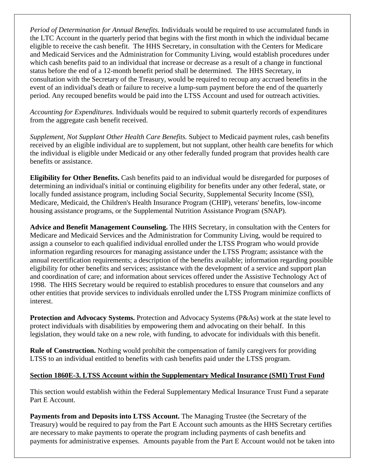*Period of Determination for Annual Benefits.* Individuals would be required to use accumulated funds in the LTC Account in the quarterly period that begins with the first month in which the individual became eligible to receive the cash benefit. The HHS Secretary, in consultation with the Centers for Medicare and Medicaid Services and the Administration for Community Living, would establish procedures under which cash benefits paid to an individual that increase or decrease as a result of a change in functional status before the end of a 12-month benefit period shall be determined. The HHS Secretary, in consultation with the Secretary of the Treasury, would be required to recoup any accrued benefits in the event of an individual's death or failure to receive a lump-sum payment before the end of the quarterly period. Any recouped benefits would be paid into the LTSS Account and used for outreach activities.

*Accounting for Expenditures.* Individuals would be required to submit quarterly records of expenditures from the aggregate cash benefit received.

*Supplement, Not Supplant Other Health Care Benefits.* Subject to Medicaid payment rules, cash benefits received by an eligible individual are to supplement, but not supplant, other health care benefits for which the individual is eligible under Medicaid or any other federally funded program that provides health care benefits or assistance.

**Eligibility for Other Benefits.** Cash benefits paid to an individual would be disregarded for purposes of determining an individual's initial or continuing eligibility for benefits under any other federal, state, or locally funded assistance program, including Social Security, Supplemental Security Income (SSI), Medicare, Medicaid, the Children's Health Insurance Program (CHIP), veterans' benefits, low-income housing assistance programs, or the Supplemental Nutrition Assistance Program (SNAP).

**Advice and Benefit Management Counseling.** The HHS Secretary, in consultation with the Centers for Medicare and Medicaid Services and the Administration for Community Living, would be required to assign a counselor to each qualified individual enrolled under the LTSS Program who would provide information regarding resources for managing assistance under the LTSS Program; assistance with the annual recertification requirements; a description of the benefits available; information regarding possible eligibility for other benefits and services; assistance with the development of a service and support plan and coordination of care; and information about services offered under the Assistive Technology Act of 1998. The HHS Secretary would be required to establish procedures to ensure that counselors and any other entities that provide services to individuals enrolled under the LTSS Program minimize conflicts of interest.

**Protection and Advocacy Systems.** Protection and Advocacy Systems (P&As) work at the state level to protect individuals with disabilities by empowering them and advocating on their behalf. In this legislation, they would take on a new role, with funding, to advocate for individuals with this benefit.

**Rule of Construction.** Nothing would prohibit the compensation of family caregivers for providing LTSS to an individual entitled to benefits with cash benefits paid under the LTSS program.

# **Section 1860E-3. LTSS Account within the Supplementary Medical Insurance (SMI) Trust Fund**

This section would establish within the Federal Supplementary Medical Insurance Trust Fund a separate Part E Account.

**Payments from and Deposits into LTSS Account.** The Managing Trustee (the Secretary of the Treasury) would be required to pay from the Part E Account such amounts as the HHS Secretary certifies are necessary to make payments to operate the program including payments of cash benefits and payments for administrative expenses. Amounts payable from the Part E Account would not be taken into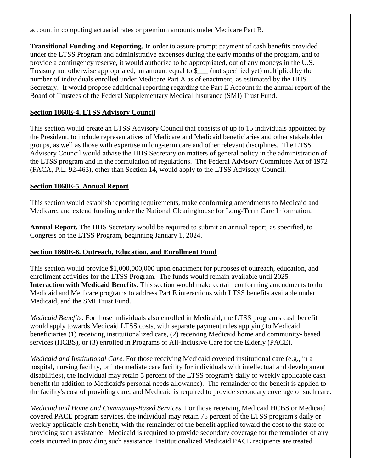account in computing actuarial rates or premium amounts under Medicare Part B.

**Transitional Funding and Reporting.** In order to assure prompt payment of cash benefits provided under the LTSS Program and administrative expenses during the early months of the program, and to provide a contingency reserve, it would authorize to be appropriated, out of any moneys in the U.S. Treasury not otherwise appropriated, an amount equal to \$\_\_\_ (not specified yet) multiplied by the number of individuals enrolled under Medicare Part A as of enactment, as estimated by the HHS Secretary. It would propose additional reporting regarding the Part E Account in the annual report of the Board of Trustees of the Federal Supplementary Medical Insurance (SMI) Trust Fund.

# **Section 1860E-4. LTSS Advisory Council**

This section would create an LTSS Advisory Council that consists of up to 15 individuals appointed by the President, to include representatives of Medicare and Medicaid beneficiaries and other stakeholder groups, as well as those with expertise in long-term care and other relevant disciplines. The LTSS Advisory Council would advise the HHS Secretary on matters of general policy in the administration of the LTSS program and in the formulation of regulations. The Federal Advisory Committee Act of 1972 (FACA, P.L. 92-463), other than Section 14, would apply to the LTSS Advisory Council.

## **Section 1860E-5. Annual Report**

This section would establish reporting requirements, make conforming amendments to Medicaid and Medicare, and extend funding under the National Clearinghouse for Long-Term Care Information.

**Annual Report.** The HHS Secretary would be required to submit an annual report, as specified, to Congress on the LTSS Program, beginning January 1, 2024.

#### **Section 1860E-6. Outreach, Education, and Enrollment Fund**

This section would provide \$1,000,000,000 upon enactment for purposes of outreach, education, and enrollment activities for the LTSS Program. The funds would remain available until 2025. **Interaction with Medicaid Benefits.** This section would make certain conforming amendments to the Medicaid and Medicare programs to address Part E interactions with LTSS benefits available under Medicaid, and the SMI Trust Fund.

*Medicaid Benefits.* For those individuals also enrolled in Medicaid, the LTSS program's cash benefit would apply towards Medicaid LTSS costs, with separate payment rules applying to Medicaid beneficiaries (1) receiving institutionalized care, (2) receiving Medicaid home and community- based services (HCBS), or (3) enrolled in Programs of All-Inclusive Care for the Elderly (PACE).

*Medicaid and Institutional Care.* For those receiving Medicaid covered institutional care (e.g., in a hospital, nursing facility, or intermediate care facility for individuals with intellectual and development disabilities), the individual may retain 5 percent of the LTSS program's daily or weekly applicable cash benefit (in addition to Medicaid's personal needs allowance). The remainder of the benefit is applied to the facility's cost of providing care, and Medicaid is required to provide secondary coverage of such care.

*Medicaid and Home and Community-Based Services.* For those receiving Medicaid HCBS or Medicaid covered PACE program services, the individual may retain 75 percent of the LTSS program's daily or weekly applicable cash benefit, with the remainder of the benefit applied toward the cost to the state of providing such assistance. Medicaid is required to provide secondary coverage for the remainder of any costs incurred in providing such assistance. Institutionalized Medicaid PACE recipients are treated